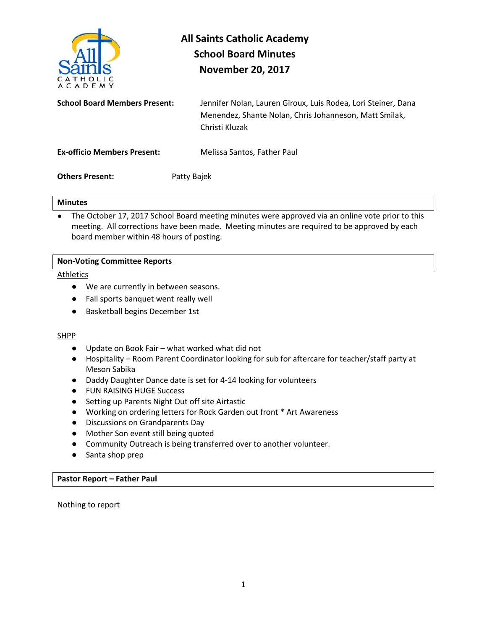

# **All Saints Catholic Academy School Board Minutes November 20, 2017**

**School Board Members Present:** Jennifer Nolan, Lauren Giroux, Luis Rodea, Lori Steiner, Dana Menendez, Shante Nolan, Chris Johanneson, Matt Smilak, Christi Kluzak

**Ex-officio Members Present:** Melissa Santos, Father Paul

**Others Present:** Patty Bajek

# **Minutes**

• The October 17, 2017 School Board meeting minutes were approved via an online vote prior to this meeting. All corrections have been made. Meeting minutes are required to be approved by each board member within 48 hours of posting.

# **Non-Voting Committee Reports**

Athletics

- We are currently in between seasons.
- Fall sports banquet went really well
- Basketball begins December 1st

# SHPP

- Update on Book Fair what worked what did not
- Hospitality Room Parent Coordinator looking for sub for aftercare for teacher/staff party at Meson Sabika
- Daddy Daughter Dance date is set for 4-14 looking for volunteers
- **FUN RAISING HUGE Success**
- Setting up Parents Night Out off site Airtastic
- Working on ordering letters for Rock Garden out front \* Art Awareness
- Discussions on Grandparents Day
- Mother Son event still being quoted
- Community Outreach is being transferred over to another volunteer.
- Santa shop prep

# **Pastor Report – Father Paul**

Nothing to report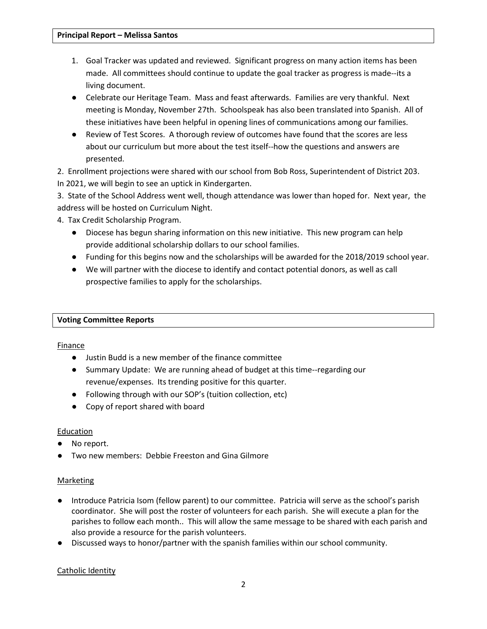- 1. Goal Tracker was updated and reviewed. Significant progress on many action items has been made. All committees should continue to update the goal tracker as progress is made--its a living document.
- Celebrate our Heritage Team. Mass and feast afterwards. Families are very thankful. Next meeting is Monday, November 27th. Schoolspeak has also been translated into Spanish. All of these initiatives have been helpful in opening lines of communications among our families.
- Review of Test Scores. A thorough review of outcomes have found that the scores are less about our curriculum but more about the test itself--how the questions and answers are presented.

2. Enrollment projections were shared with our school from Bob Ross, Superintendent of District 203. In 2021, we will begin to see an uptick in Kindergarten.

3. State of the School Address went well, though attendance was lower than hoped for. Next year, the address will be hosted on Curriculum Night.

4. Tax Credit Scholarship Program.

- Diocese has begun sharing information on this new initiative. This new program can help provide additional scholarship dollars to our school families.
- Funding for this begins now and the scholarships will be awarded for the 2018/2019 school year.
- We will partner with the diocese to identify and contact potential donors, as well as call prospective families to apply for the scholarships.

# **Voting Committee Reports**

Finance

- Justin Budd is a new member of the finance committee
- Summary Update: We are running ahead of budget at this time--regarding our revenue/expenses. Its trending positive for this quarter.
- Following through with our SOP's (tuition collection, etc)
- Copy of report shared with board

#### **Education**

- No report.
- Two new members: Debbie Freeston and Gina Gilmore

# Marketing

- Introduce Patricia Isom (fellow parent) to our committee. Patricia will serve as the school's parish coordinator. She will post the roster of volunteers for each parish. She will execute a plan for the parishes to follow each month.. This will allow the same message to be shared with each parish and also provide a resource for the parish volunteers.
- Discussed ways to honor/partner with the spanish families within our school community.

#### Catholic Identity